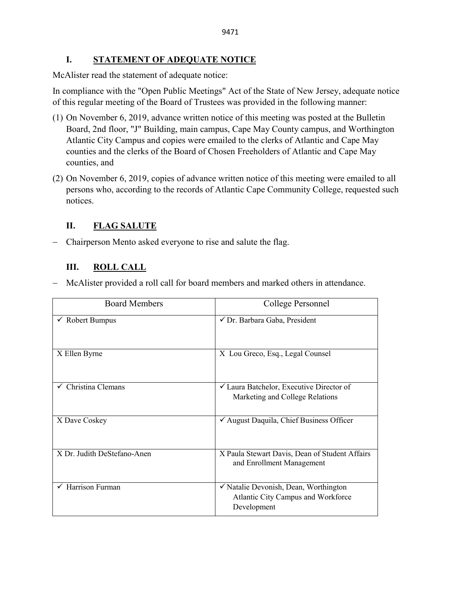# **I. STATEMENT OF ADEQUATE NOTICE**

McAlister read the statement of adequate notice:

In compliance with the "Open Public Meetings" Act of the State of New Jersey, adequate notice of this regular meeting of the Board of Trustees was provided in the following manner:

- (1) On November 6, 2019, advance written notice of this meeting was posted at the Bulletin Board, 2nd floor, "J" Building, main campus, Cape May County campus, and Worthington Atlantic City Campus and copies were emailed to the clerks of Atlantic and Cape May counties and the clerks of the Board of Chosen Freeholders of Atlantic and Cape May counties, and
- (2) On November 6, 2019, copies of advance written notice of this meeting were emailed to all persons who, according to the records of Atlantic Cape Community College, requested such notices.

# **II. FLAG SALUTE**

− Chairperson Mento asked everyone to rise and salute the flag.

# **III. ROLL CALL**

− McAlister provided a roll call for board members and marked others in attendance.

| <b>Board Members</b>           | College Personnel                                                                          |
|--------------------------------|--------------------------------------------------------------------------------------------|
| $\checkmark$ Robert Bumpus     | √ Dr. Barbara Gaba, President                                                              |
| X Ellen Byrne                  | X Lou Greco, Esq., Legal Counsel                                                           |
| $\checkmark$ Christina Clemans | $\checkmark$ Laura Batchelor, Executive Director of<br>Marketing and College Relations     |
| X Dave Coskey                  | √ August Daquila, Chief Business Officer                                                   |
| X Dr. Judith DeStefano-Anen    | X Paula Stewart Davis, Dean of Student Affairs<br>and Enrollment Management                |
| Harrison Furman                | √ Natalie Devonish, Dean, Worthington<br>Atlantic City Campus and Workforce<br>Development |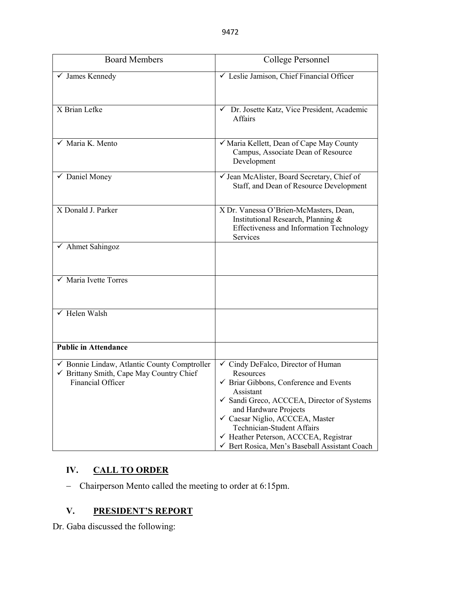| <b>Board Members</b>                                                                                          | College Personnel                                                                                                                                                                                                                                                                                                                                        |
|---------------------------------------------------------------------------------------------------------------|----------------------------------------------------------------------------------------------------------------------------------------------------------------------------------------------------------------------------------------------------------------------------------------------------------------------------------------------------------|
| $\checkmark$ James Kennedy                                                                                    | └ Leslie Jamison, Chief Financial Officer                                                                                                                                                                                                                                                                                                                |
| X Brian Lefke                                                                                                 | ← Dr. Josette Katz, Vice President, Academic<br><b>Affairs</b>                                                                                                                                                                                                                                                                                           |
| $\checkmark$ Maria K. Mento                                                                                   | √ Maria Kellett, Dean of Cape May County<br>Campus, Associate Dean of Resource<br>Development                                                                                                                                                                                                                                                            |
| $\checkmark$ Daniel Money                                                                                     | √ Jean McAlister, Board Secretary, Chief of<br>Staff, and Dean of Resource Development                                                                                                                                                                                                                                                                   |
| X Donald J. Parker                                                                                            | X Dr. Vanessa O'Brien-McMasters, Dean,<br>Institutional Research, Planning &<br>Effectiveness and Information Technology<br>Services                                                                                                                                                                                                                     |
| $\checkmark$ Ahmet Sahingoz                                                                                   |                                                                                                                                                                                                                                                                                                                                                          |
| $\checkmark$ Maria Ivette Torres                                                                              |                                                                                                                                                                                                                                                                                                                                                          |
| $\checkmark$ Helen Walsh                                                                                      |                                                                                                                                                                                                                                                                                                                                                          |
| <b>Public in Attendance</b>                                                                                   |                                                                                                                                                                                                                                                                                                                                                          |
| ✔ Bonnie Lindaw, Atlantic County Comptroller<br>✔ Brittany Smith, Cape May Country Chief<br>Financial Officer | ✓ Cindy DeFalco, Director of Human<br>Resources<br>$\checkmark$ Briar Gibbons, Conference and Events<br>Assistant<br>✓ Sandi Greco, ACCCEA, Director of Systems<br>and Hardware Projects<br>√ Caesar Niglio, ACCCEA, Master<br><b>Technician-Student Affairs</b><br>← Heather Peterson, ACCCEA, Registrar<br>Gert Rosica, Men's Baseball Assistant Coach |

# **IV. CALL TO ORDER**

− Chairperson Mento called the meeting to order at 6:15pm.

# **V. PRESIDENT'S REPORT**

Dr. Gaba discussed the following: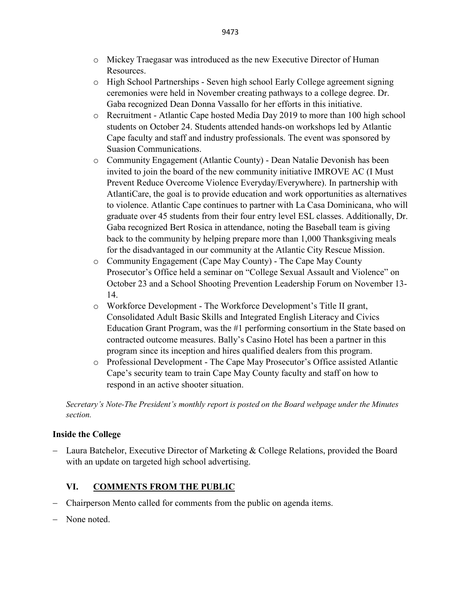- o Mickey Traegasar was introduced as the new Executive Director of Human Resources.
- o High School Partnerships Seven high school Early College agreement signing ceremonies were held in November creating pathways to a college degree. Dr. Gaba recognized Dean Donna Vassallo for her efforts in this initiative.
- o Recruitment Atlantic Cape hosted Media Day 2019 to more than 100 high school students on October 24. Students attended hands-on workshops led by Atlantic Cape faculty and staff and industry professionals. The event was sponsored by Suasion Communications.
- o Community Engagement (Atlantic County) Dean Natalie Devonish has been invited to join the board of the new community initiative IMROVE AC (I Must Prevent Reduce Overcome Violence Everyday/Everywhere). In partnership with AtlantiCare, the goal is to provide education and work opportunities as alternatives to violence. Atlantic Cape continues to partner with La Casa Dominicana, who will graduate over 45 students from their four entry level ESL classes. Additionally, Dr. Gaba recognized Bert Rosica in attendance, noting the Baseball team is giving back to the community by helping prepare more than 1,000 Thanksgiving meals for the disadvantaged in our community at the Atlantic City Rescue Mission.
- o Community Engagement (Cape May County) The Cape May County Prosecutor's Office held a seminar on "College Sexual Assault and Violence" on October 23 and a School Shooting Prevention Leadership Forum on November 13- 14.
- o Workforce Development The Workforce Development's Title II grant, Consolidated Adult Basic Skills and Integrated English Literacy and Civics Education Grant Program, was the #1 performing consortium in the State based on contracted outcome measures. Bally's Casino Hotel has been a partner in this program since its inception and hires qualified dealers from this program.
- o Professional Development The Cape May Prosecutor's Office assisted Atlantic Cape's security team to train Cape May County faculty and staff on how to respond in an active shooter situation.

*Secretary's Note-The President's monthly report is posted on the Board webpage under the Minutes section.*

# **Inside the College**

− Laura Batchelor, Executive Director of Marketing & College Relations, provided the Board with an update on targeted high school advertising.

# **VI. COMMENTS FROM THE PUBLIC**

- − Chairperson Mento called for comments from the public on agenda items.
- − None noted.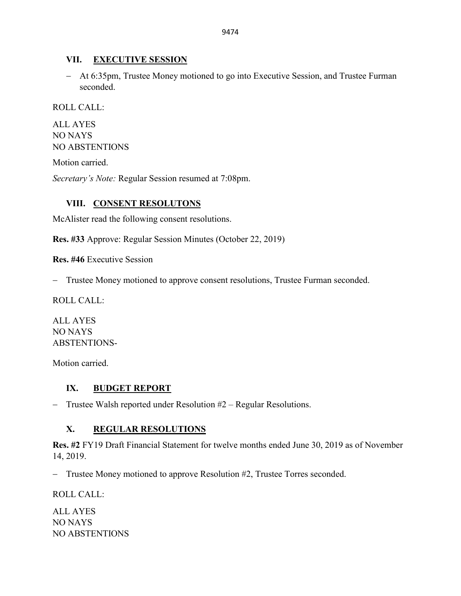# **VII. EXECUTIVE SESSION**

− At 6:35pm, Trustee Money motioned to go into Executive Session, and Trustee Furman seconded.

ROLL CALL:

ALL AYES NO NAYS NO ABSTENTIONS

Motion carried.

*Secretary's Note:* Regular Session resumed at 7:08pm.

# **VIII. CONSENT RESOLUTONS**

McAlister read the following consent resolutions.

**Res. #33** Approve: Regular Session Minutes (October 22, 2019)

**Res. #46** Executive Session

− Trustee Money motioned to approve consent resolutions, Trustee Furman seconded.

ROLL CALL:

ALL AYES NO NAYS ABSTENTIONS-

Motion carried.

# **IX. BUDGET REPORT**

− Trustee Walsh reported under Resolution #2 – Regular Resolutions.

# **X. REGULAR RESOLUTIONS**

**Res. #2** FY19 Draft Financial Statement for twelve months ended June 30, 2019 as of November 14, 2019.

− Trustee Money motioned to approve Resolution #2, Trustee Torres seconded.

ROLL CALL:

ALL AYES NO NAYS NO ABSTENTIONS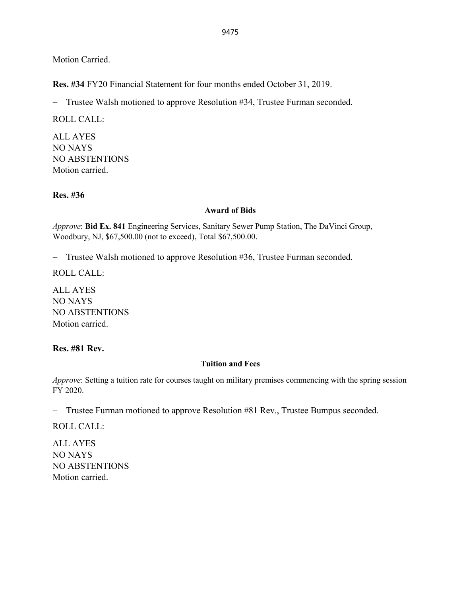Motion Carried.

**Res. #34** FY20 Financial Statement for four months ended October 31, 2019.

− Trustee Walsh motioned to approve Resolution #34, Trustee Furman seconded.

ROLL CALL:

ALL AYES NO NAYS NO ABSTENTIONS Motion carried.

**Res. #36** 

#### **Award of Bids**

*Approve*: **Bid Ex. 841** Engineering Services, Sanitary Sewer Pump Station, The DaVinci Group, Woodbury, NJ, \$67,500.00 (not to exceed), Total \$67,500.00.

− Trustee Walsh motioned to approve Resolution #36, Trustee Furman seconded.

ROLL CALL:

ALL AYES NO NAYS NO ABSTENTIONS Motion carried.

# **Res. #81 Rev.**

# **Tuition and Fees**

*Approve*: Setting a tuition rate for courses taught on military premises commencing with the spring session FY 2020.

− Trustee Furman motioned to approve Resolution #81 Rev., Trustee Bumpus seconded.

ROLL CALL:

ALL AYES NO NAYS NO ABSTENTIONS Motion carried.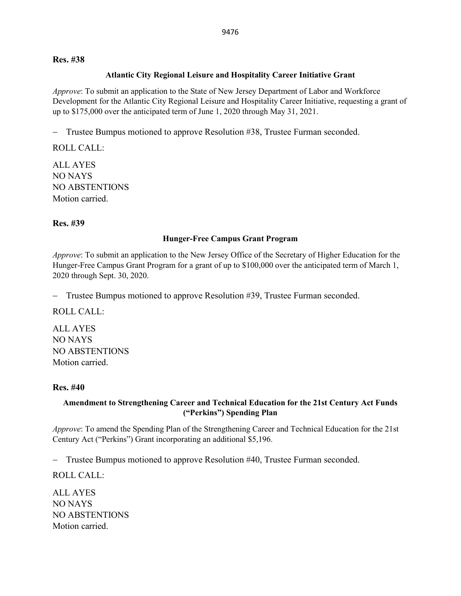### **Res. #38**

### **Atlantic City Regional Leisure and Hospitality Career Initiative Grant**

*Approve*: To submit an application to the State of New Jersey Department of Labor and Workforce Development for the Atlantic City Regional Leisure and Hospitality Career Initiative, requesting a grant of up to \$175,000 over the anticipated term of June 1, 2020 through May 31, 2021.

− Trustee Bumpus motioned to approve Resolution #38, Trustee Furman seconded.

ROLL CALL:

ALL AYES NO NAYS NO ABSTENTIONS Motion carried.

# **Res. #39**

# **Hunger-Free Campus Grant Program**

*Approve*: To submit an application to the New Jersey Office of the Secretary of Higher Education for the Hunger-Free Campus Grant Program for a grant of up to \$100,000 over the anticipated term of March 1, 2020 through Sept. 30, 2020.

− Trustee Bumpus motioned to approve Resolution #39, Trustee Furman seconded.

ROLL CALL:

ALL AYES NO NAYS NO ABSTENTIONS Motion carried.

# **Res. #40**

# **Amendment to Strengthening Career and Technical Education for the 21st Century Act Funds ("Perkins") Spending Plan**

*Approve*: To amend the Spending Plan of the Strengthening Career and Technical Education for the 21st Century Act ("Perkins") Grant incorporating an additional \$5,196.

− Trustee Bumpus motioned to approve Resolution #40, Trustee Furman seconded.

ROLL CALL:

ALL AYES NO NAYS NO ABSTENTIONS Motion carried.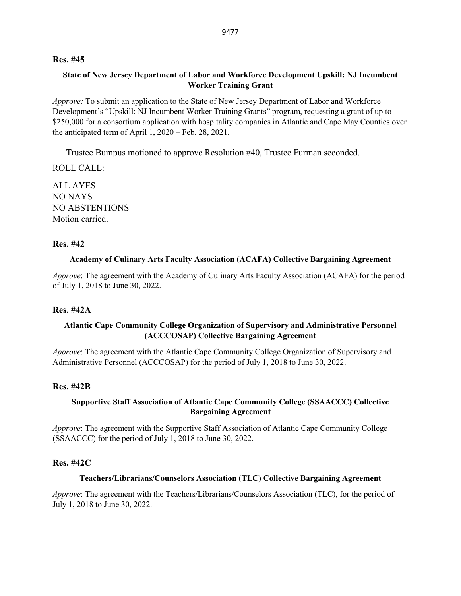#### **Res. #45**

# **State of New Jersey Department of Labor and Workforce Development Upskill: NJ Incumbent Worker Training Grant**

*Approve:* To submit an application to the State of New Jersey Department of Labor and Workforce Development's "Upskill: NJ Incumbent Worker Training Grants" program, requesting a grant of up to \$250,000 for a consortium application with hospitality companies in Atlantic and Cape May Counties over the anticipated term of April 1, 2020 – Feb. 28, 2021.

− Trustee Bumpus motioned to approve Resolution #40, Trustee Furman seconded.

ROLL CALL:

ALL AYES NO NAYS NO ABSTENTIONS Motion carried.

#### **Res. #42**

#### **Academy of Culinary Arts Faculty Association (ACAFA) Collective Bargaining Agreement**

*Approve*: The agreement with the Academy of Culinary Arts Faculty Association (ACAFA) for the period of July 1, 2018 to June 30, 2022.

# **Res. #42A**

# **Atlantic Cape Community College Organization of Supervisory and Administrative Personnel (ACCCOSAP) Collective Bargaining Agreement**

*Approve*: The agreement with the Atlantic Cape Community College Organization of Supervisory and Administrative Personnel (ACCCOSAP) for the period of July 1, 2018 to June 30, 2022.

#### **Res. #42B**

#### **Supportive Staff Association of Atlantic Cape Community College (SSAACCC) Collective Bargaining Agreement**

*Approve*: The agreement with the Supportive Staff Association of Atlantic Cape Community College (SSAACCC) for the period of July 1, 2018 to June 30, 2022.

#### **Res. #42C**

#### **Teachers/Librarians/Counselors Association (TLC) Collective Bargaining Agreement**

*Approve*: The agreement with the Teachers/Librarians/Counselors Association (TLC), for the period of July 1, 2018 to June 30, 2022.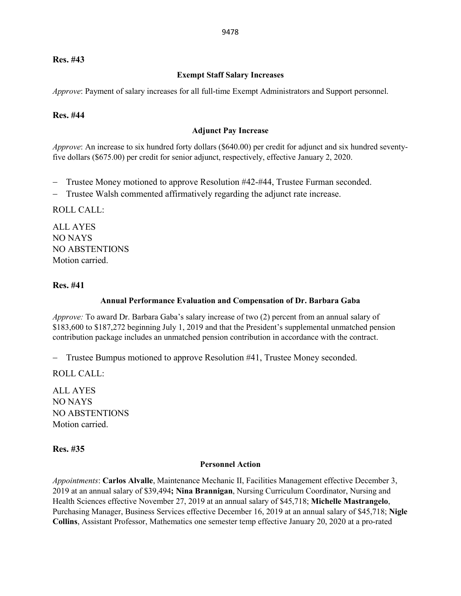# **Res. #43**

# **Exempt Staff Salary Increases**

*Approve*: Payment of salary increases for all full-time Exempt Administrators and Support personnel.

### **Res. #44**

#### **Adjunct Pay Increase**

*Approve*: An increase to six hundred forty dollars (\$640.00) per credit for adjunct and six hundred seventyfive dollars (\$675.00) per credit for senior adjunct, respectively, effective January 2, 2020.

- − Trustee Money motioned to approve Resolution #42-#44, Trustee Furman seconded.
- − Trustee Walsh commented affirmatively regarding the adjunct rate increase.

ROLL CALL:

ALL AYES NO NAYS NO ABSTENTIONS Motion carried.

### **Res. #41**

#### **Annual Performance Evaluation and Compensation of Dr. Barbara Gaba**

*Approve:* To award Dr. Barbara Gaba's salary increase of two (2) percent from an annual salary of \$183,600 to \$187,272 beginning July 1, 2019 and that the President's supplemental unmatched pension contribution package includes an unmatched pension contribution in accordance with the contract.

− Trustee Bumpus motioned to approve Resolution #41, Trustee Money seconded.

ROLL CALL:

ALL AYES NO NAYS NO ABSTENTIONS Motion carried.

# **Res. #35**

#### **Personnel Action**

*Appointments*: **Carlos Alvalle**, Maintenance Mechanic II, Facilities Management effective December 3, 2019 at an annual salary of \$39,494**; Nina Brannigan**, Nursing Curriculum Coordinator, Nursing and Health Sciences effective November 27, 2019 at an annual salary of \$45,718; **Michelle Mastrangelo**, Purchasing Manager, Business Services effective December 16, 2019 at an annual salary of \$45,718; **Nigle Collins**, Assistant Professor, Mathematics one semester temp effective January 20, 2020 at a pro-rated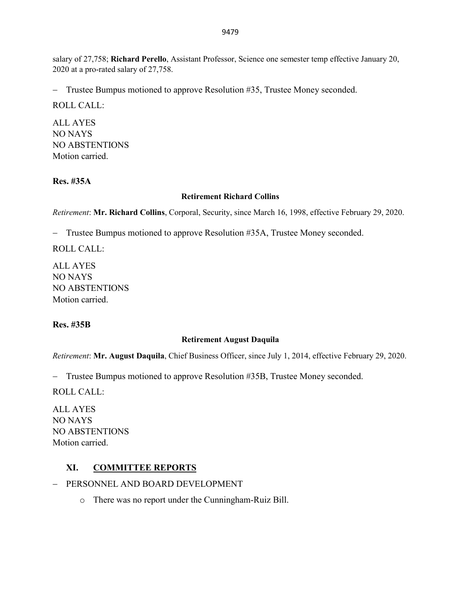salary of 27,758; **Richard Perello**, Assistant Professor, Science one semester temp effective January 20, 2020 at a pro-rated salary of 27,758.

− Trustee Bumpus motioned to approve Resolution #35, Trustee Money seconded.

ROLL CALL:

ALL AYES NO NAYS NO ABSTENTIONS Motion carried.

# **Res. #35A**

# **Retirement Richard Collins**

*Retirement*: **Mr. Richard Collins**, Corporal, Security, since March 16, 1998, effective February 29, 2020.

− Trustee Bumpus motioned to approve Resolution #35A, Trustee Money seconded.

ROLL CALL:

ALL AYES NO NAYS NO ABSTENTIONS Motion carried.

# **Res. #35B**

# **Retirement August Daquila**

*Retirement*: **Mr. August Daquila**, Chief Business Officer, since July 1, 2014, effective February 29, 2020.

− Trustee Bumpus motioned to approve Resolution #35B, Trustee Money seconded.

ROLL CALL:

ALL AYES NO NAYS NO ABSTENTIONS Motion carried.

# **XI. COMMITTEE REPORTS**

- − PERSONNEL AND BOARD DEVELOPMENT
	- o There was no report under the Cunningham-Ruiz Bill.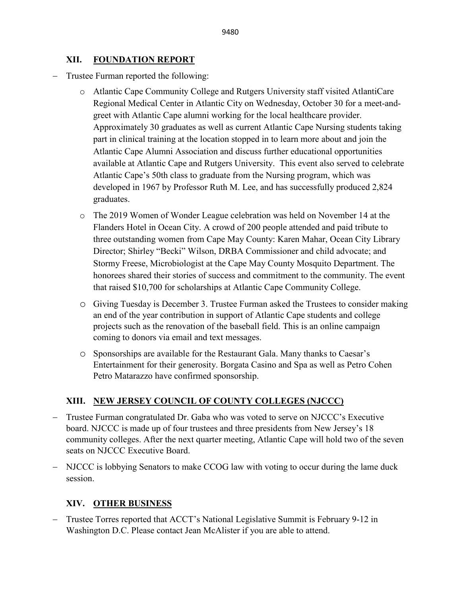# **XII. FOUNDATION REPORT**

- − Trustee Furman reported the following:
	- o Atlantic Cape Community College and Rutgers University staff visited AtlantiCare Regional Medical Center in Atlantic City on Wednesday, October 30 for a meet-andgreet with Atlantic Cape alumni working for the local healthcare provider. Approximately 30 graduates as well as current Atlantic Cape Nursing students taking part in clinical training at the location stopped in to learn more about and join the Atlantic Cape Alumni Association and discuss further educational opportunities available at Atlantic Cape and Rutgers University. This event also served to celebrate Atlantic Cape's 50th class to graduate from the Nursing program, which was developed in 1967 by Professor Ruth M. Lee, and has successfully produced 2,824 graduates.
	- o The 2019 Women of Wonder League celebration was held on November 14 at the Flanders Hotel in Ocean City. A crowd of 200 people attended and paid tribute to three outstanding women from Cape May County: Karen Mahar, Ocean City Library Director; Shirley "Becki" Wilson, DRBA Commissioner and child advocate; and Stormy Freese, Microbiologist at the Cape May County Mosquito Department. The honorees shared their stories of success and commitment to the community. The event that raised \$10,700 for scholarships at Atlantic Cape Community College.
	- o Giving Tuesday is December 3. Trustee Furman asked the Trustees to consider making an end of the year contribution in support of Atlantic Cape students and college projects such as the renovation of the baseball field. This is an online campaign coming to donors via email and text messages.
	- o Sponsorships are available for the Restaurant Gala. Many thanks to Caesar's Entertainment for their generosity. Borgata Casino and Spa as well as Petro Cohen Petro Matarazzo have confirmed sponsorship.

# **XIII. NEW JERSEY COUNCIL OF COUNTY COLLEGES (NJCCC)**

- − Trustee Furman congratulated Dr. Gaba who was voted to serve on NJCCC's Executive board. NJCCC is made up of four trustees and three presidents from New Jersey's 18 community colleges. After the next quarter meeting, Atlantic Cape will hold two of the seven seats on NJCCC Executive Board.
- − NJCCC is lobbying Senators to make CCOG law with voting to occur during the lame duck session.

# **XIV. OTHER BUSINESS**

− Trustee Torres reported that ACCT's National Legislative Summit is February 9-12 in Washington D.C. Please contact Jean McAlister if you are able to attend.